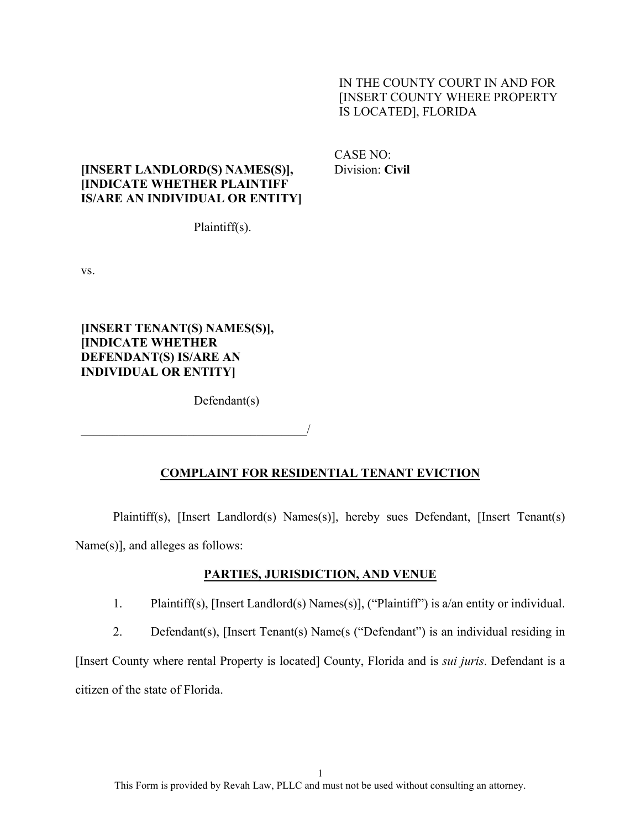## IN THE COUNTY COURT IN AND FOR [INSERT COUNTY WHERE PROPERTY IS LOCATED], FLORIDA

## **[INSERT LANDLORD(S) NAMES(S)], [INDICATE WHETHER PLAINTIFF IS/ARE AN INDIVIDUAL OR ENTITY]**

 CASE NO: Division: **Civil**

Plaintiff(s).

vs.

**[INSERT TENANT(S) NAMES(S)], [INDICATE WHETHER DEFENDANT(S) IS/ARE AN INDIVIDUAL OR ENTITY]**

 $\overline{\phantom{a}}$ 

Defendant(s)

**COMPLAINT FOR RESIDENTIAL TENANT EVICTION**

Plaintiff(s), [Insert Landlord(s) Names(s)], hereby sues Defendant, [Insert Tenant(s) Name(s)], and alleges as follows:

## **PARTIES, JURISDICTION, AND VENUE**

1. Plaintiff(s), [Insert Landlord(s) Names(s)], ("Plaintiff") is a/an entity or individual.

2. Defendant(s), [Insert Tenant(s) Name(s ("Defendant") is an individual residing in

[Insert County where rental Property is located] County, Florida and is *sui juris*. Defendant is a citizen of the state of Florida.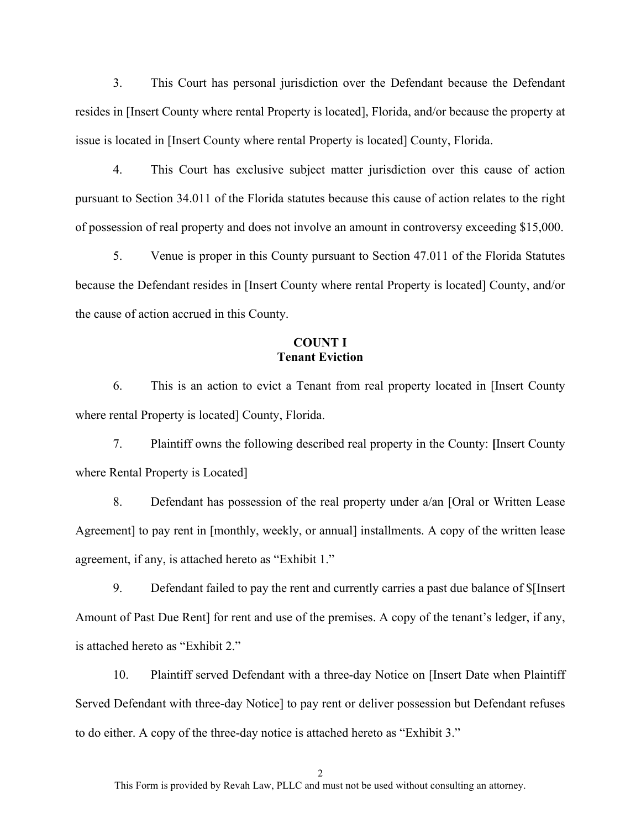3. This Court has personal jurisdiction over the Defendant because the Defendant resides in [Insert County where rental Property is located], Florida, and/or because the property at issue is located in [Insert County where rental Property is located] County, Florida.

4. This Court has exclusive subject matter jurisdiction over this cause of action pursuant to Section 34.011 of the Florida statutes because this cause of action relates to the right of possession of real property and does not involve an amount in controversy exceeding \$15,000.

5. Venue is proper in this County pursuant to Section 47.011 of the Florida Statutes because the Defendant resides in [Insert County where rental Property is located] County, and/or the cause of action accrued in this County.

## **COUNT I Tenant Eviction**

6. This is an action to evict a Tenant from real property located in [Insert County where rental Property is located] County, Florida.

7. Plaintiff owns the following described real property in the County: **[**Insert County where Rental Property is Located]

8. Defendant has possession of the real property under a/an [Oral or Written Lease Agreement] to pay rent in [monthly, weekly, or annual] installments. A copy of the written lease agreement, if any, is attached hereto as "Exhibit 1."

9. Defendant failed to pay the rent and currently carries a past due balance of \$[Insert Amount of Past Due Rent] for rent and use of the premises. A copy of the tenant's ledger, if any, is attached hereto as "Exhibit 2."

10. Plaintiff served Defendant with a three-day Notice on [Insert Date when Plaintiff Served Defendant with three-day Notice] to pay rent or deliver possession but Defendant refuses to do either. A copy of the three-day notice is attached hereto as "Exhibit 3."